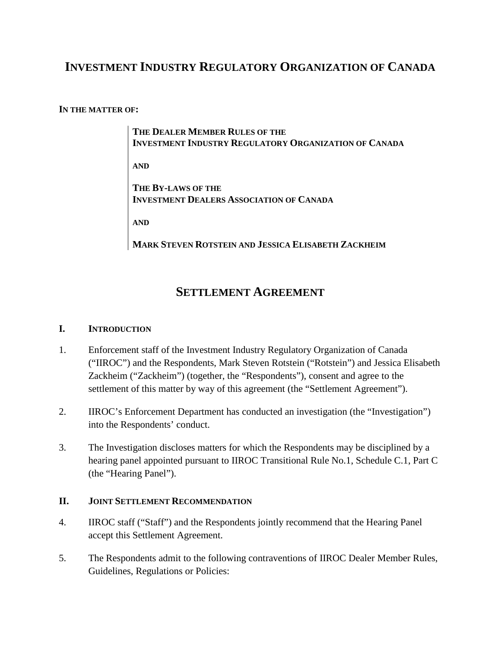# **INVESTMENT INDUSTRY REGULATORY ORGANIZATION OF CANADA**

#### **IN THE MATTER OF:**

**THE DEALER MEMBER RULES OF THE INVESTMENT INDUSTRY REGULATORY ORGANIZATION OF CANADA AND THE BY-LAWS OF THE** 

**INVESTMENT DEALERS ASSOCIATION OF CANADA**

**AND**

**MARK STEVEN ROTSTEIN AND JESSICA ELISABETH ZACKHEIM**

## **SETTLEMENT AGREEMENT**

### **I. INTRODUCTION**

- 1. Enforcement staff of the Investment Industry Regulatory Organization of Canada ("IIROC") and the Respondents, Mark Steven Rotstein ("Rotstein") and Jessica Elisabeth Zackheim ("Zackheim") (together, the "Respondents"), consent and agree to the settlement of this matter by way of this agreement (the "Settlement Agreement").
- 2. IIROC's Enforcement Department has conducted an investigation (the "Investigation") into the Respondents' conduct.
- 3. The Investigation discloses matters for which the Respondents may be disciplined by a hearing panel appointed pursuant to IIROC Transitional Rule No.1, Schedule C.1, Part C (the "Hearing Panel").

## **II. JOINT SETTLEMENT RECOMMENDATION**

- 4. IIROC staff ("Staff") and the Respondents jointly recommend that the Hearing Panel accept this Settlement Agreement.
- 5. The Respondents admit to the following contraventions of IIROC Dealer Member Rules, Guidelines, Regulations or Policies: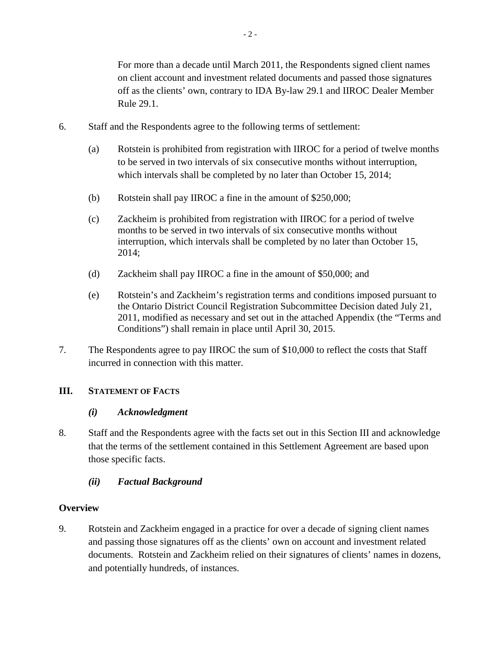- 2 -

For more than a decade until March 2011, the Respondents signed client names on client account and investment related documents and passed those signatures off as the clients' own, contrary to IDA By-law 29.1 and IIROC Dealer Member Rule 29.1.

- 6. Staff and the Respondents agree to the following terms of settlement:
	- (a) Rotstein is prohibited from registration with IIROC for a period of twelve months to be served in two intervals of six consecutive months without interruption, which intervals shall be completed by no later than October 15, 2014;
	- (b) Rotstein shall pay IIROC a fine in the amount of \$250,000;
	- (c) Zackheim is prohibited from registration with IIROC for a period of twelve months to be served in two intervals of six consecutive months without interruption, which intervals shall be completed by no later than October 15, 2014;
	- (d) Zackheim shall pay IIROC a fine in the amount of \$50,000; and
	- (e) Rotstein's and Zackheim's registration terms and conditions imposed pursuant to the Ontario District Council Registration Subcommittee Decision dated July 21, 2011, modified as necessary and set out in the attached Appendix (the "Terms and Conditions") shall remain in place until April 30, 2015.
- 7. The Respondents agree to pay IIROC the sum of \$10,000 to reflect the costs that Staff incurred in connection with this matter.

## **III. STATEMENT OF FACTS**

## *(i) Acknowledgment*

8. Staff and the Respondents agree with the facts set out in this Section III and acknowledge that the terms of the settlement contained in this Settlement Agreement are based upon those specific facts.

## *(ii) Factual Background*

## **Overview**

9. Rotstein and Zackheim engaged in a practice for over a decade of signing client names and passing those signatures off as the clients' own on account and investment related documents. Rotstein and Zackheim relied on their signatures of clients' names in dozens, and potentially hundreds, of instances.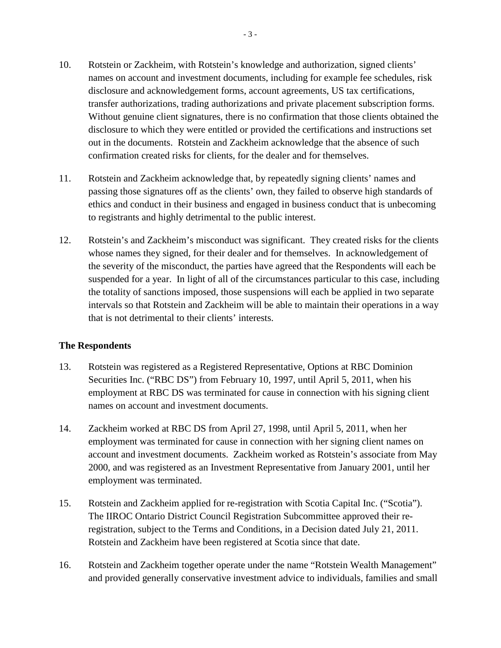- 10. Rotstein or Zackheim, with Rotstein's knowledge and authorization, signed clients' names on account and investment documents, including for example fee schedules, risk disclosure and acknowledgement forms, account agreements, US tax certifications, transfer authorizations, trading authorizations and private placement subscription forms. Without genuine client signatures, there is no confirmation that those clients obtained the disclosure to which they were entitled or provided the certifications and instructions set out in the documents. Rotstein and Zackheim acknowledge that the absence of such confirmation created risks for clients, for the dealer and for themselves.
- 11. Rotstein and Zackheim acknowledge that, by repeatedly signing clients' names and passing those signatures off as the clients' own, they failed to observe high standards of ethics and conduct in their business and engaged in business conduct that is unbecoming to registrants and highly detrimental to the public interest.
- 12. Rotstein's and Zackheim's misconduct was significant. They created risks for the clients whose names they signed, for their dealer and for themselves. In acknowledgement of the severity of the misconduct, the parties have agreed that the Respondents will each be suspended for a year. In light of all of the circumstances particular to this case, including the totality of sanctions imposed, those suspensions will each be applied in two separate intervals so that Rotstein and Zackheim will be able to maintain their operations in a way that is not detrimental to their clients' interests.

#### **The Respondents**

- 13. Rotstein was registered as a Registered Representative, Options at RBC Dominion Securities Inc. ("RBC DS") from February 10, 1997, until April 5, 2011, when his employment at RBC DS was terminated for cause in connection with his signing client names on account and investment documents.
- 14. Zackheim worked at RBC DS from April 27, 1998, until April 5, 2011, when her employment was terminated for cause in connection with her signing client names on account and investment documents. Zackheim worked as Rotstein's associate from May 2000, and was registered as an Investment Representative from January 2001, until her employment was terminated.
- 15. Rotstein and Zackheim applied for re-registration with Scotia Capital Inc. ("Scotia"). The IIROC Ontario District Council Registration Subcommittee approved their reregistration, subject to the Terms and Conditions, in a Decision dated July 21, 2011. Rotstein and Zackheim have been registered at Scotia since that date.
- 16. Rotstein and Zackheim together operate under the name "Rotstein Wealth Management" and provided generally conservative investment advice to individuals, families and small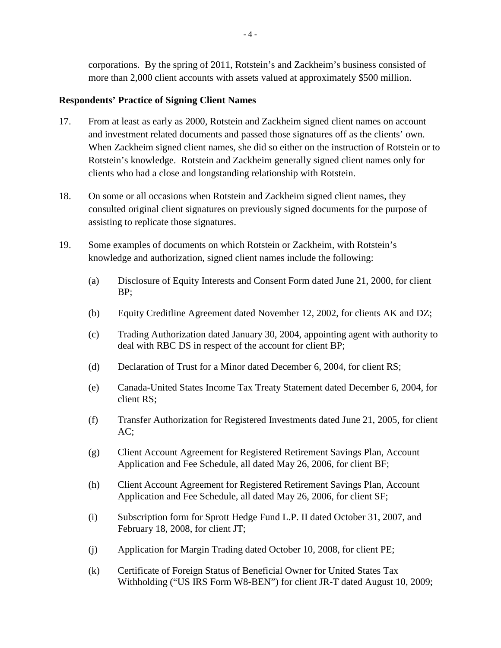corporations. By the spring of 2011, Rotstein's and Zackheim's business consisted of more than 2,000 client accounts with assets valued at approximately \$500 million.

#### **Respondents' Practice of Signing Client Names**

- 17. From at least as early as 2000, Rotstein and Zackheim signed client names on account and investment related documents and passed those signatures off as the clients' own. When Zackheim signed client names, she did so either on the instruction of Rotstein or to Rotstein's knowledge. Rotstein and Zackheim generally signed client names only for clients who had a close and longstanding relationship with Rotstein.
- 18. On some or all occasions when Rotstein and Zackheim signed client names, they consulted original client signatures on previously signed documents for the purpose of assisting to replicate those signatures.
- 19. Some examples of documents on which Rotstein or Zackheim, with Rotstein's knowledge and authorization, signed client names include the following:
	- (a) Disclosure of Equity Interests and Consent Form dated June 21, 2000, for client BP;
	- (b) Equity Creditline Agreement dated November 12, 2002, for clients AK and DZ;
	- (c) Trading Authorization dated January 30, 2004, appointing agent with authority to deal with RBC DS in respect of the account for client BP;
	- (d) Declaration of Trust for a Minor dated December 6, 2004, for client RS;
	- (e) Canada-United States Income Tax Treaty Statement dated December 6, 2004, for client RS;
	- (f) Transfer Authorization for Registered Investments dated June 21, 2005, for client AC;
	- (g) Client Account Agreement for Registered Retirement Savings Plan, Account Application and Fee Schedule, all dated May 26, 2006, for client BF;
	- (h) Client Account Agreement for Registered Retirement Savings Plan, Account Application and Fee Schedule, all dated May 26, 2006, for client SF;
	- (i) Subscription form for Sprott Hedge Fund L.P. II dated October 31, 2007, and February 18, 2008, for client JT;
	- (j) Application for Margin Trading dated October 10, 2008, for client PE;
	- (k) Certificate of Foreign Status of Beneficial Owner for United States Tax Withholding ("US IRS Form W8-BEN") for client JR-T dated August 10, 2009;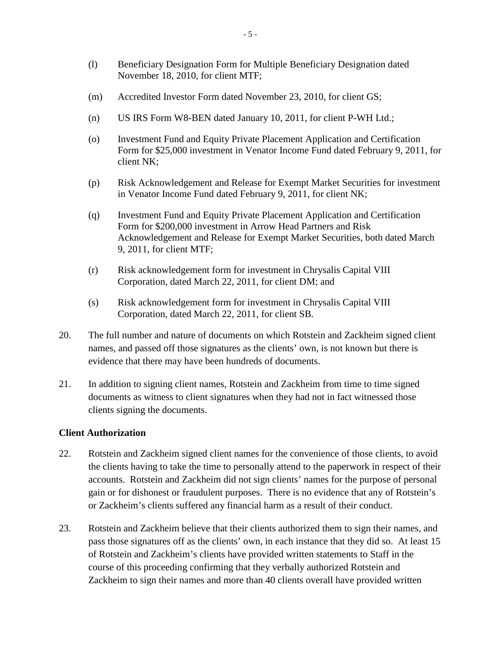- (l) Beneficiary Designation Form for Multiple Beneficiary Designation dated November 18, 2010, for client MTF;
- (m) Accredited Investor Form dated November 23, 2010, for client GS;
- (n) US IRS Form W8-BEN dated January 10, 2011, for client P-WH Ltd.;
- (o) Investment Fund and Equity Private Placement Application and Certification Form for \$25,000 investment in Venator Income Fund dated February 9, 2011, for client NK;
- (p) Risk Acknowledgement and Release for Exempt Market Securities for investment in Venator Income Fund dated February 9, 2011, for client NK;
- (q) Investment Fund and Equity Private Placement Application and Certification Form for \$200,000 investment in Arrow Head Partners and Risk Acknowledgement and Release for Exempt Market Securities, both dated March 9, 2011, for client MTF;
- (r) Risk acknowledgement form for investment in Chrysalis Capital VIII Corporation, dated March 22, 2011, for client DM; and
- (s) Risk acknowledgement form for investment in Chrysalis Capital VIII Corporation, dated March 22, 2011, for client SB.
- 20. The full number and nature of documents on which Rotstein and Zackheim signed client names, and passed off those signatures as the clients' own, is not known but there is evidence that there may have been hundreds of documents.
- 21. In addition to signing client names, Rotstein and Zackheim from time to time signed documents as witness to client signatures when they had not in fact witnessed those clients signing the documents.

#### **Client Authorization**

- 22. Rotstein and Zackheim signed client names for the convenience of those clients, to avoid the clients having to take the time to personally attend to the paperwork in respect of their accounts. Rotstein and Zackheim did not sign clients' names for the purpose of personal gain or for dishonest or fraudulent purposes. There is no evidence that any of Rotstein's or Zackheim's clients suffered any financial harm as a result of their conduct.
- 23. Rotstein and Zackheim believe that their clients authorized them to sign their names, and pass those signatures off as the clients' own, in each instance that they did so. At least 15 of Rotstein and Zackheim's clients have provided written statements to Staff in the course of this proceeding confirming that they verbally authorized Rotstein and Zackheim to sign their names and more than 40 clients overall have provided written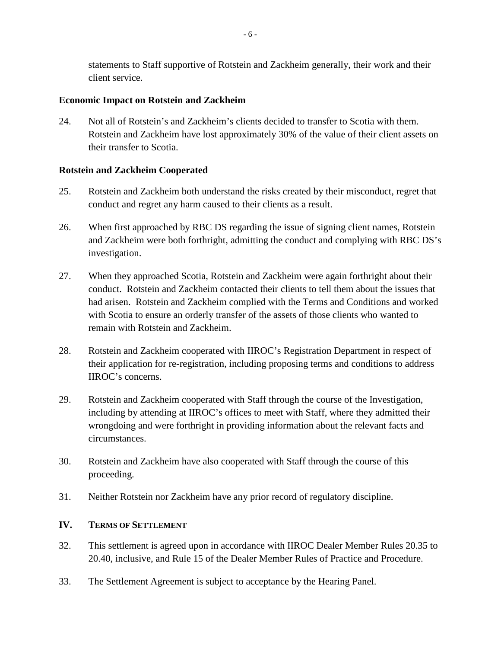statements to Staff supportive of Rotstein and Zackheim generally, their work and their client service.

#### **Economic Impact on Rotstein and Zackheim**

24. Not all of Rotstein's and Zackheim's clients decided to transfer to Scotia with them. Rotstein and Zackheim have lost approximately 30% of the value of their client assets on their transfer to Scotia.

## **Rotstein and Zackheim Cooperated**

- 25. Rotstein and Zackheim both understand the risks created by their misconduct, regret that conduct and regret any harm caused to their clients as a result.
- 26. When first approached by RBC DS regarding the issue of signing client names, Rotstein and Zackheim were both forthright, admitting the conduct and complying with RBC DS's investigation.
- 27. When they approached Scotia, Rotstein and Zackheim were again forthright about their conduct. Rotstein and Zackheim contacted their clients to tell them about the issues that had arisen. Rotstein and Zackheim complied with the Terms and Conditions and worked with Scotia to ensure an orderly transfer of the assets of those clients who wanted to remain with Rotstein and Zackheim.
- 28. Rotstein and Zackheim cooperated with IIROC's Registration Department in respect of their application for re-registration, including proposing terms and conditions to address IIROC's concerns.
- 29. Rotstein and Zackheim cooperated with Staff through the course of the Investigation, including by attending at IIROC's offices to meet with Staff, where they admitted their wrongdoing and were forthright in providing information about the relevant facts and circumstances.
- 30. Rotstein and Zackheim have also cooperated with Staff through the course of this proceeding.
- 31. Neither Rotstein nor Zackheim have any prior record of regulatory discipline.

## **IV. TERMS OF SETTLEMENT**

- 32. This settlement is agreed upon in accordance with IIROC Dealer Member Rules 20.35 to 20.40, inclusive, and Rule 15 of the Dealer Member Rules of Practice and Procedure.
- 33. The Settlement Agreement is subject to acceptance by the Hearing Panel.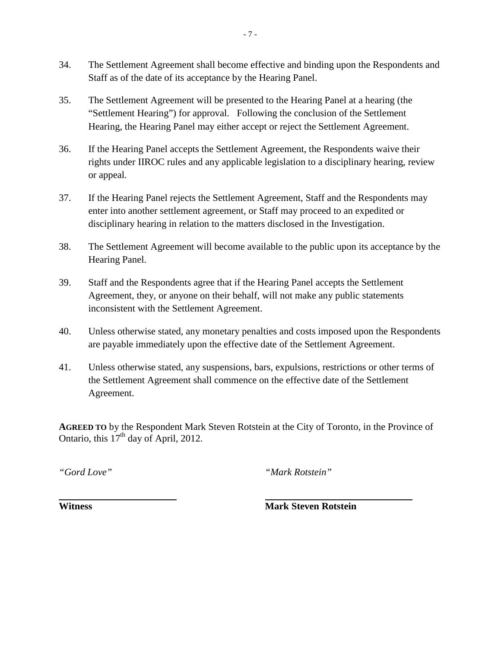- 34. The Settlement Agreement shall become effective and binding upon the Respondents and Staff as of the date of its acceptance by the Hearing Panel.
- 35. The Settlement Agreement will be presented to the Hearing Panel at a hearing (the "Settlement Hearing") for approval. Following the conclusion of the Settlement Hearing, the Hearing Panel may either accept or reject the Settlement Agreement.
- 36. If the Hearing Panel accepts the Settlement Agreement, the Respondents waive their rights under IIROC rules and any applicable legislation to a disciplinary hearing, review or appeal.
- 37. If the Hearing Panel rejects the Settlement Agreement, Staff and the Respondents may enter into another settlement agreement, or Staff may proceed to an expedited or disciplinary hearing in relation to the matters disclosed in the Investigation.
- 38. The Settlement Agreement will become available to the public upon its acceptance by the Hearing Panel.
- 39. Staff and the Respondents agree that if the Hearing Panel accepts the Settlement Agreement, they, or anyone on their behalf, will not make any public statements inconsistent with the Settlement Agreement.
- 40. Unless otherwise stated, any monetary penalties and costs imposed upon the Respondents are payable immediately upon the effective date of the Settlement Agreement.
- 41. Unless otherwise stated, any suspensions, bars, expulsions, restrictions or other terms of the Settlement Agreement shall commence on the effective date of the Settlement Agreement.

**AGREED TO** by the Respondent Mark Steven Rotstein at the City of Toronto, in the Province of Ontario, this  $17<sup>th</sup>$  day of April, 2012.

*"Gord Love" "Mark Rotstein"*

**Witness** Mark Steven Rotstein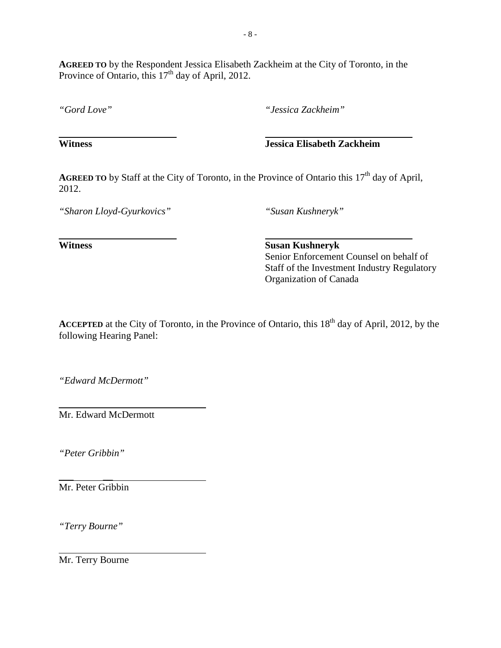**AGREED TO** by the Respondent Jessica Elisabeth Zackheim at the City of Toronto, in the Province of Ontario, this  $17<sup>th</sup>$  day of April, 2012.

*"Gord Love" "Jessica Zackheim"*

**Witness Jessica Elisabeth Zackheim**

**AGREED TO** by Staff at the City of Toronto, in the Province of Ontario this 17<sup>th</sup> day of April, 2012.

*"Sharon Lloyd-Gyurkovics" "Susan Kushneryk"*

**Witness Susan Kushneryk** Senior Enforcement Counsel on behalf of Staff of the Investment Industry Regulatory Organization of Canada

**ACCEPTED** at the City of Toronto, in the Province of Ontario, this 18<sup>th</sup> day of April, 2012, by the following Hearing Panel:

*"Edward McDermott"*

Mr. Edward McDermott

*"Peter Gribbin"*

*\_\_\_* \_\_ Mr. Peter Gribbin

*"Terry Bourne"*

Mr. Terry Bourne